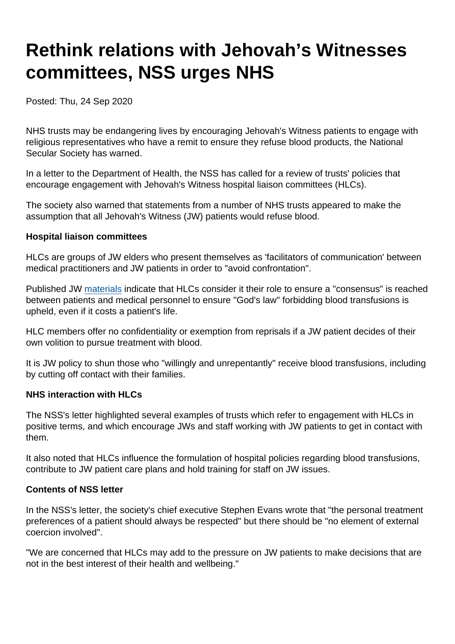# Rethink relations with Jehovah's Witnesses committees, NSS urges NHS

Posted: Thu, 24 Sep 2020

NHS trusts may be endangering lives by encouraging Jehovah's Witness patients to engage with religious representatives who have a remit to ensure they refuse blood products, the National Secular Society has warned.

In a letter to the Department of Health, the NSS has called for a review of trusts' policies that encourage engagement with Jehovah's Witness hospital liaison committees (HLCs).

The society also warned that statements from a number of NHS trusts appeared to make the assumption that all Jehovah's Witness (JW) patients would refuse blood.

Hospital liaison committees

HLCs are groups of JW elders who present themselves as 'facilitators of communication' between medical practitioners and JW patients in order to "avoid confrontation".

Published JW [materials](https://www.jw.org/en/library/videos/#en/mediaitems/Reports/pub-mwbv_202006_4_VIDEO) indicate that HLCs consider it their role to ensure a "consensus" is reached between patients and medical personnel to ensure "God's law" forbidding blood transfusions is upheld, even if it costs a patient's life.

HLC members offer no confidentiality or exemption from reprisals if a JW patient decides of their own volition to pursue treatment with blood.

It is JW policy to shun those who "willingly and unrepentantly" receive blood transfusions, including by cutting off contact with their families.

NHS interaction with HLCs

The NSS's letter highlighted several examples of trusts which refer to engagement with HLCs in positive terms, and which encourage JWs and staff working with JW patients to get in contact with them.

It also noted that HLCs influence the formulation of hospital policies regarding blood transfusions, contribute to JW patient care plans and hold training for staff on JW issues.

Contents of NSS letter

In the NSS's letter, the society's chief executive Stephen Evans wrote that "the personal treatment preferences of a patient should always be respected" but there should be "no element of external coercion involved".

"We are concerned that HLCs may add to the pressure on JW patients to make decisions that are not in the best interest of their health and wellbeing."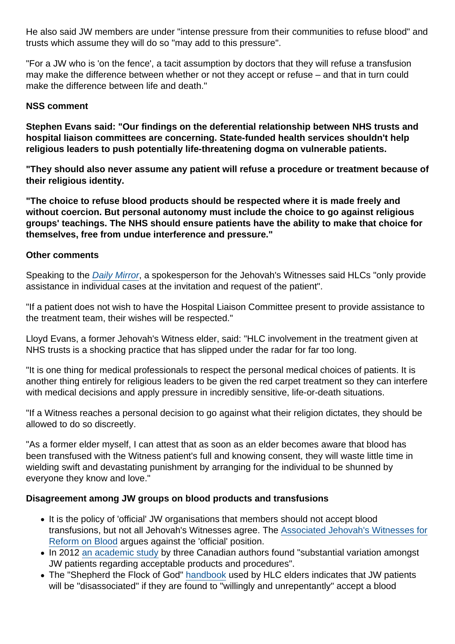He also said JW members are under "intense pressure from their communities to refuse blood" and trusts which assume they will do so "may add to this pressure".

"For a JW who is 'on the fence', a tacit assumption by doctors that they will refuse a transfusion may make the difference between whether or not they accept or refuse – and that in turn could make the difference between life and death."

#### NSS comment

Stephen Evans said: "Our findings on the deferential relationship between NHS trusts and hospital liaison committees are concerning. State-funded health services shouldn't help religious leaders to push potentially life-threatening dogma on vulnerable patients.

"They should also never assume any patient will refuse a procedure or treatment because of their religious identity.

"The choice to refuse blood products should be respected where it is made freely and without coercion. But personal autonomy must include the choice to go against religious groups' teachings. The NHS should ensure patients have the ability to make that choice for themselves, free from undue interference and pressure."

#### Other comments

Speaking to the [Daily Mirror](https://www.mirror.co.uk/news/uk-news/patients-need-protecting-jehovahs-witnesses-22731565), a spokesperson for the Jehovah's Witnesses said HLCs "only provide assistance in individual cases at the invitation and request of the patient".

"If a patient does not wish to have the Hospital Liaison Committee present to provide assistance to the treatment team, their wishes will be respected."

Lloyd Evans, a former Jehovah's Witness elder, said: "HLC involvement in the treatment given at NHS trusts is a shocking practice that has slipped under the radar for far too long.

"It is one thing for medical professionals to respect the personal medical choices of patients. It is another thing entirely for religious leaders to be given the red carpet treatment so they can interfere with medical decisions and apply pressure in incredibly sensitive, life-or-death situations.

"If a Witness reaches a personal decision to go against what their religion dictates, they should be allowed to do so discreetly.

"As a former elder myself, I can attest that as soon as an elder becomes aware that blood has been transfused with the Witness patient's full and knowing consent, they will waste little time in wielding swift and devastating punishment by arranging for the individual to be shunned by everyone they know and love."

Disagreement among JW groups on blood products and transfusions

- It is the policy of 'official' JW organisations that members should not accept blood transfusions, but not all Jehovah's Witnesses agree. The [Associated Jehovah's Witnesses for](https://www.ajwrb.org/) [Reform on Blood](https://www.ajwrb.org/) argues against the 'official' position.
- In 2012 [an academic study](https://link.springer.com/article/10.1007/s12630-012-9784-7) by three Canadian authors found "substantial variation amongst JW patients regarding acceptable products and procedures".
- The "Shepherd the Flock of God" [handbook](https://avoidjw.org/secret/elders/) used by HLC elders indicates that JW patients will be "disassociated" if they are found to "willingly and unrepentantly" accept a blood